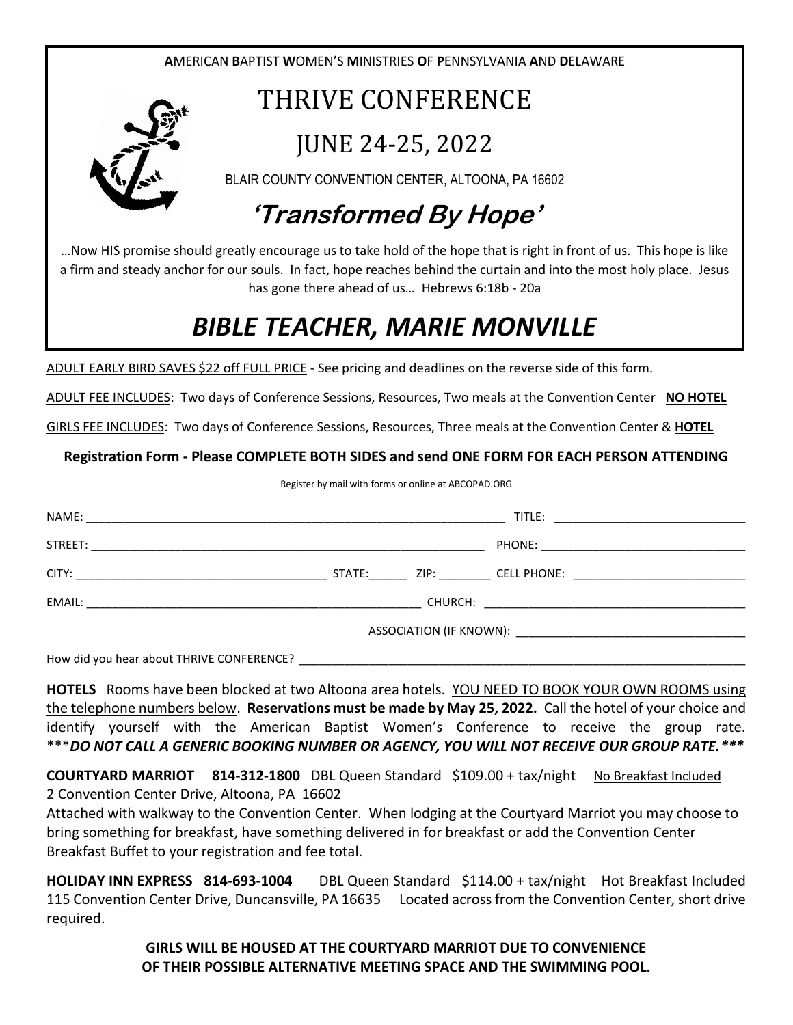

## *BIBLE TEACHER, MARIE MONVILLE*

ADULT EARLY BIRD SAVES \$22 off FULL PRICE - See pricing and deadlines on the reverse side of this form.

ADULT FEE INCLUDES: Two days of Conference Sessions, Resources, Two meals at the Convention Center **NO HOTEL**

GIRLS FEE INCLUDES: Two days of Conference Sessions, Resources, Three meals at the Convention Center & **HOTEL**

**Registration Form - Please COMPLETE BOTH SIDES and send ONE FORM FOR EACH PERSON ATTENDING**

Register by mail with forms or online at ABCOPAD.ORG

How did you hear about THRIVE CONFERENCE?

**HOTELS** Rooms have been blocked at two Altoona area hotels. YOU NEED TO BOOK YOUR OWN ROOMS using the telephone numbers below. **Reservations must be made by May 25, 2022.** Call the hotel of your choice and identify yourself with the American Baptist Women's Conference to receive the group rate. \*\*\**DO NOT CALL A GENERIC BOOKING NUMBER OR AGENCY, YOU WILL NOT RECEIVE OUR GROUP RATE.\*\*\**

**COURTYARD MARRIOT 814-312-1800** DBL Queen Standard \$109.00 + tax/nightNo Breakfast Included 2 Convention Center Drive, Altoona, PA 16602

Attached with walkway to the Convention Center. When lodging at the Courtyard Marriot you may choose to bring something for breakfast, have something delivered in for breakfast or add the Convention Center Breakfast Buffet to your registration and fee total.

**HOLIDAY INN EXPRESS 814-693-1004** DBL Queen Standard \$114.00 + tax/night Hot Breakfast Included 115 Convention Center Drive, Duncansville, PA 16635 Located across from the Convention Center, short drive required.

> **GIRLS WILL BE HOUSED AT THE COURTYARD MARRIOT DUE TO CONVENIENCE OF THEIR POSSIBLE ALTERNATIVE MEETING SPACE AND THE SWIMMING POOL.**